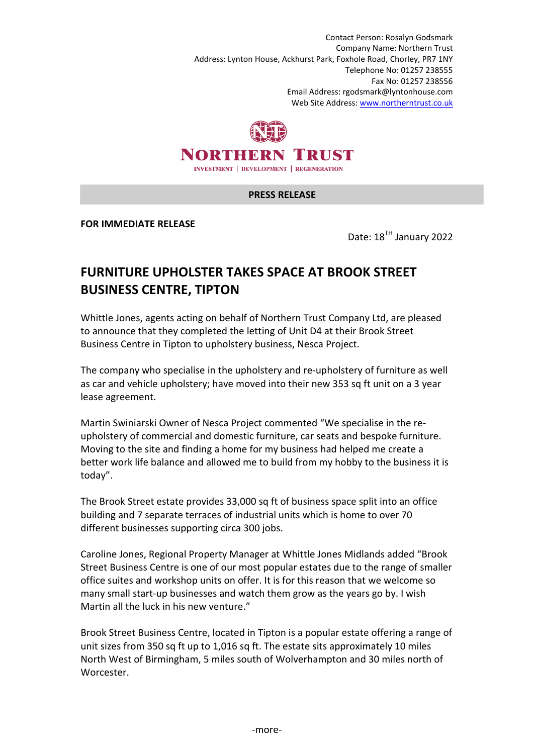Contact Person: Rosalyn Godsmark Company Name: Northern Trust Address: Lynton House, Ackhurst Park, Foxhole Road, Chorley, PR7 1NY Telephone No: 01257 238555 Fax No: 01257 238556 Email Address: rgodsmark@lyntonhouse.com Web Site Address: www.northerntrust.co.uk



## **PRESS RELEASE**

**FOR IMMEDIATE RELEASE** 

Date: 18<sup>TH</sup> January 2022

## **FURNITURE UPHOLSTER TAKES SPACE AT BROOK STREET BUSINESS CENTRE, TIPTON**

Whittle Jones, agents acting on behalf of Northern Trust Company Ltd, are pleased to announce that they completed the letting of Unit D4 at their Brook Street Business Centre in Tipton to upholstery business, Nesca Project.

The company who specialise in the upholstery and re-upholstery of furniture as well as car and vehicle upholstery; have moved into their new 353 sq ft unit on a 3 year lease agreement.

Martin Swiniarski Owner of Nesca Project commented "We specialise in the reupholstery of commercial and domestic furniture, car seats and bespoke furniture. Moving to the site and finding a home for my business had helped me create a better work life balance and allowed me to build from my hobby to the business it is today".

The Brook Street estate provides 33,000 sq ft of business space split into an office building and 7 separate terraces of industrial units which is home to over 70 different businesses supporting circa 300 jobs.

Caroline Jones, Regional Property Manager at Whittle Jones Midlands added "Brook Street Business Centre is one of our most popular estates due to the range of smaller office suites and workshop units on offer. It is for this reason that we welcome so many small start-up businesses and watch them grow as the years go by. I wish Martin all the luck in his new venture."

Brook Street Business Centre, located in Tipton is a popular estate offering a range of unit sizes from 350 sq ft up to 1,016 sq ft. The estate sits approximately 10 miles North West of Birmingham, 5 miles south of Wolverhampton and 30 miles north of Worcester.